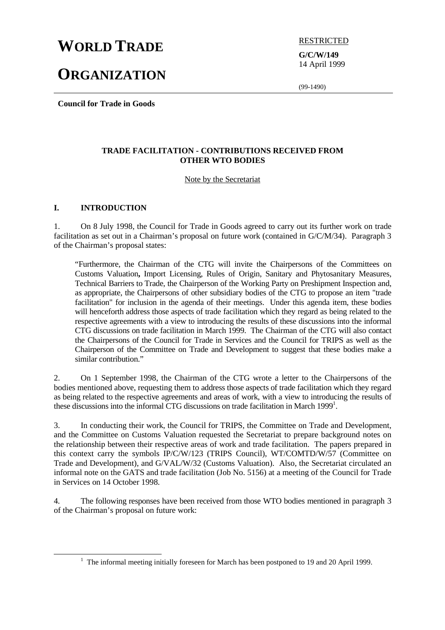# **WORLD TRADE** RESTRICTED

# **ORGANIZATION**

**G/C/W/149** 14 April 1999

(99-1490)

**Council for Trade in Goods**

# **TRADE FACILITATION - CONTRIBUTIONS RECEIVED FROM OTHER WTO BODIES**

# Note by the Secretariat

# **I. INTRODUCTION**

1. On 8 July 1998, the Council for Trade in Goods agreed to carry out its further work on trade facilitation as set out in a Chairman's proposal on future work (contained in G/C/M/34). Paragraph 3 of the Chairman's proposal states:

"Furthermore, the Chairman of the CTG will invite the Chairpersons of the Committees on Customs Valuation**,** Import Licensing, Rules of Origin, Sanitary and Phytosanitary Measures, Technical Barriers to Trade, the Chairperson of the Working Party on Preshipment Inspection and, as appropriate, the Chairpersons of other subsidiary bodies of the CTG to propose an item "trade facilitation" for inclusion in the agenda of their meetings. Under this agenda item, these bodies will henceforth address those aspects of trade facilitation which they regard as being related to the respective agreements with a view to introducing the results of these discussions into the informal CTG discussions on trade facilitation in March 1999. The Chairman of the CTG will also contact the Chairpersons of the Council for Trade in Services and the Council for TRIPS as well as the Chairperson of the Committee on Trade and Development to suggest that these bodies make a similar contribution."

2. On 1 September 1998, the Chairman of the CTG wrote a letter to the Chairpersons of the bodies mentioned above, requesting them to address those aspects of trade facilitation which they regard as being related to the respective agreements and areas of work, with a view to introducing the results of these discussions into the informal CTG discussions on trade facilitation in March 1999<sup>1</sup>.

3. In conducting their work, the Council for TRIPS, the Committee on Trade and Development, and the Committee on Customs Valuation requested the Secretariat to prepare background notes on the relationship between their respective areas of work and trade facilitation. The papers prepared in this context carry the symbols IP/C/W/123 (TRIPS Council), WT/COMTD/W/57 (Committee on Trade and Development), and G/VAL/W/32 (Customs Valuation). Also, the Secretariat circulated an informal note on the GATS and trade facilitation (Job No. 5156) at a meeting of the Council for Trade in Services on 14 October 1998.

4. The following responses have been received from those WTO bodies mentioned in paragraph 3 of the Chairman's proposal on future work:

<sup>&</sup>lt;u>1</u>  $1$  The informal meeting initially foreseen for March has been postponed to 19 and 20 April 1999.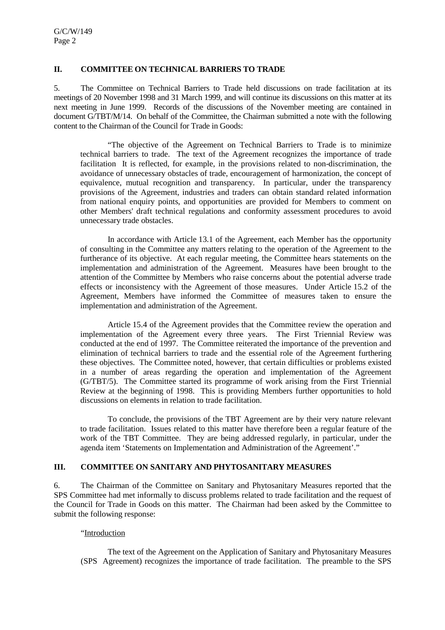#### **II. COMMITTEE ON TECHNICAL BARRIERS TO TRADE**

5. The Committee on Technical Barriers to Trade held discussions on trade facilitation at its meetings of 20 November 1998 and 31 March 1999, and will continue its discussions on this matter at its next meeting in June 1999. Records of the discussions of the November meeting are contained in document G/TBT/M/14. On behalf of the Committee, the Chairman submitted a note with the following content to the Chairman of the Council for Trade in Goods:

"The objective of the Agreement on Technical Barriers to Trade is to minimize technical barriers to trade. The text of the Agreement recognizes the importance of trade facilitation It is reflected, for example, in the provisions related to non-discrimination, the avoidance of unnecessary obstacles of trade, encouragement of harmonization, the concept of equivalence, mutual recognition and transparency. In particular, under the transparency provisions of the Agreement, industries and traders can obtain standard related information from national enquiry points, and opportunities are provided for Members to comment on other Members' draft technical regulations and conformity assessment procedures to avoid unnecessary trade obstacles.

In accordance with Article 13.1 of the Agreement, each Member has the opportunity of consulting in the Committee any matters relating to the operation of the Agreement to the furtherance of its objective. At each regular meeting, the Committee hears statements on the implementation and administration of the Agreement. Measures have been brought to the attention of the Committee by Members who raise concerns about the potential adverse trade effects or inconsistency with the Agreement of those measures. Under Article 15.2 of the Agreement, Members have informed the Committee of measures taken to ensure the implementation and administration of the Agreement.

Article 15.4 of the Agreement provides that the Committee review the operation and implementation of the Agreement every three years. The First Triennial Review was conducted at the end of 1997. The Committee reiterated the importance of the prevention and elimination of technical barriers to trade and the essential role of the Agreement furthering these objectives. The Committee noted, however, that certain difficulties or problems existed in a number of areas regarding the operation and implementation of the Agreement (G/TBT/5). The Committee started its programme of work arising from the First Triennial Review at the beginning of 1998. This is providing Members further opportunities to hold discussions on elements in relation to trade facilitation.

To conclude, the provisions of the TBT Agreement are by their very nature relevant to trade facilitation. Issues related to this matter have therefore been a regular feature of the work of the TBT Committee. They are being addressed regularly, in particular, under the agenda item 'Statements on Implementation and Administration of the Agreement'."

# **III. COMMITTEE ON SANITARY AND PHYTOSANITARY MEASURES**

6. The Chairman of the Committee on Sanitary and Phytosanitary Measures reported that the SPS Committee had met informally to discuss problems related to trade facilitation and the request of the Council for Trade in Goods on this matter. The Chairman had been asked by the Committee to submit the following response:

#### "Introduction

The text of the Agreement on the Application of Sanitary and Phytosanitary Measures (SPS Agreement) recognizes the importance of trade facilitation. The preamble to the SPS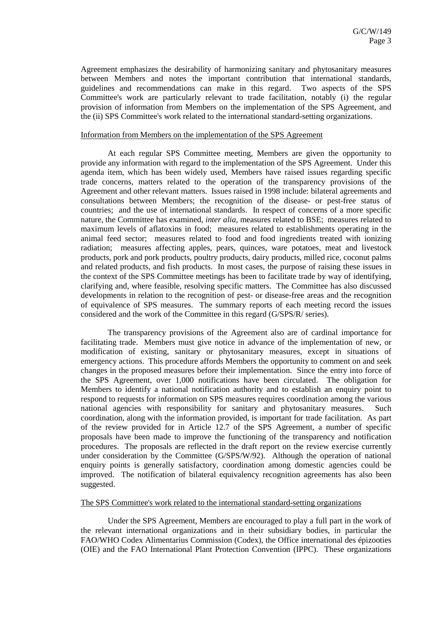Agreement emphasizes the desirability of harmonizing sanitary and phytosanitary measures between Members and notes the important contribution that international standards, guidelines and recommendations can make in this regard. Two aspects of the SPS Committee's work are particularly relevant to trade facilitation, notably (i) the regular provision of information from Members on the implementation of the SPS Agreement, and the (ii) SPS Committee's work related to the international standard-setting organizations.

#### Information from Members on the implementation of the SPS Agreement

At each regular SPS Committee meeting, Members are given the opportunity to provide any information with regard to the implementation of the SPS Agreement. Under this agenda item, which has been widely used, Members have raised issues regarding specific trade concerns, matters related to the operation of the transparency provisions of the Agreement and other relevant matters. Issues raised in 1998 include: bilateral agreements and consultations between Members; the recognition of the disease- or pest-free status of countries; and the use of international standards. In respect of concerns of a more specific nature, the Committee has examined, *inter alia*, measures related to BSE; measures related to maximum levels of aflatoxins in food; measures related to establishments operating in the animal feed sector; measures related to food and food ingredients treated with ionizing radiation; measures affecting apples, pears, quinces, ware potatoes, meat and livestock products, pork and pork products, poultry products, dairy products, milled rice, coconut palms and related products, and fish products. In most cases, the purpose of raising these issues in the context of the SPS Committee meetings has been to facilitate trade by way of identifying, clarifying and, where feasible, resolving specific matters. The Committee has also discussed developments in relation to the recognition of pest- or disease-free areas and the recognition of equivalence of SPS measures. The summary reports of each meeting record the issues considered and the work of the Committee in this regard (G/SPS/R/ series).

The transparency provisions of the Agreement also are of cardinal importance for facilitating trade. Members must give notice in advance of the implementation of new, or modification of existing, sanitary or phytosanitary measures, except in situations of emergency actions. This procedure affords Members the opportunity to comment on and seek changes in the proposed measures before their implementation. Since the entry into force of the SPS Agreement, over 1,000 notifications have been circulated. The obligation for Members to identify a national notification authority and to establish an enquiry point to respond to requests for information on SPS measures requires coordination among the various national agencies with responsibility for sanitary and phytosanitary measures. Such coordination, along with the information provided, is important for trade facilitation. As part of the review provided for in Article 12.7 of the SPS Agreement, a number of specific proposals have been made to improve the functioning of the transparency and notification procedures. The proposals are reflected in the draft report on the review exercise currently under consideration by the Committee (G/SPS/W/92). Although the operation of national enquiry points is generally satisfactory, coordination among domestic agencies could be improved. The notification of bilateral equivalency recognition agreements has also been suggested.

#### The SPS Committee's work related to the international standard-setting organizations

Under the SPS Agreement, Members are encouraged to play a full part in the work of the relevant international organizations and in their subsidiary bodies, in particular the FAO/WHO Codex Alimentarius Commission (Codex), the Office international des épizooties (OIE) and the FAO International Plant Protection Convention (IPPC). These organizations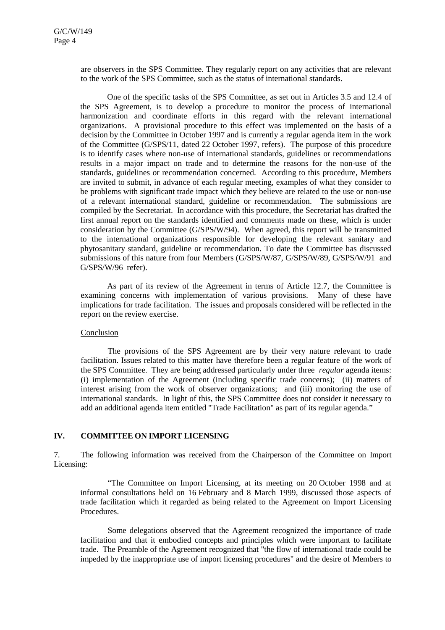are observers in the SPS Committee. They regularly report on any activities that are relevant to the work of the SPS Committee, such as the status of international standards.

One of the specific tasks of the SPS Committee, as set out in Articles 3.5 and 12.4 of the SPS Agreement, is to develop a procedure to monitor the process of international harmonization and coordinate efforts in this regard with the relevant international organizations. A provisional procedure to this effect was implemented on the basis of a decision by the Committee in October 1997 and is currently a regular agenda item in the work of the Committee (G/SPS/11, dated 22 October 1997, refers). The purpose of this procedure is to identify cases where non-use of international standards, guidelines or recommendations results in a major impact on trade and to determine the reasons for the non-use of the standards, guidelines or recommendation concerned. According to this procedure, Members are invited to submit, in advance of each regular meeting, examples of what they consider to be problems with significant trade impact which they believe are related to the use or non-use of a relevant international standard, guideline or recommendation. The submissions are compiled by the Secretariat. In accordance with this procedure, the Secretariat has drafted the first annual report on the standards identified and comments made on these, which is under consideration by the Committee (G/SPS/W/94). When agreed, this report will be transmitted to the international organizations responsible for developing the relevant sanitary and phytosanitary standard, guideline or recommendation. To date the Committee has discussed submissions of this nature from four Members (G/SPS/W/87, G/SPS/W/89, G/SPS/W/91 and G/SPS/W/96 refer).

As part of its review of the Agreement in terms of Article 12.7, the Committee is examining concerns with implementation of various provisions. Many of these have implications for trade facilitation. The issues and proposals considered will be reflected in the report on the review exercise.

#### Conclusion

The provisions of the SPS Agreement are by their very nature relevant to trade facilitation. Issues related to this matter have therefore been a regular feature of the work of the SPS Committee. They are being addressed particularly under three *regular* agenda items: (i) implementation of the Agreement (including specific trade concerns); (ii) matters of interest arising from the work of observer organizations; and (iii) monitoring the use of international standards. In light of this, the SPS Committee does not consider it necessary to add an additional agenda item entitled "Trade Facilitation" as part of its regular agenda."

### **IV. COMMITTEE ON IMPORT LICENSING**

7. The following information was received from the Chairperson of the Committee on Import Licensing:

"The Committee on Import Licensing, at its meeting on 20 October 1998 and at informal consultations held on 16 February and 8 March 1999, discussed those aspects of trade facilitation which it regarded as being related to the Agreement on Import Licensing Procedures.

Some delegations observed that the Agreement recognized the importance of trade facilitation and that it embodied concepts and principles which were important to facilitate trade. The Preamble of the Agreement recognized that "the flow of international trade could be impeded by the inappropriate use of import licensing procedures" and the desire of Members to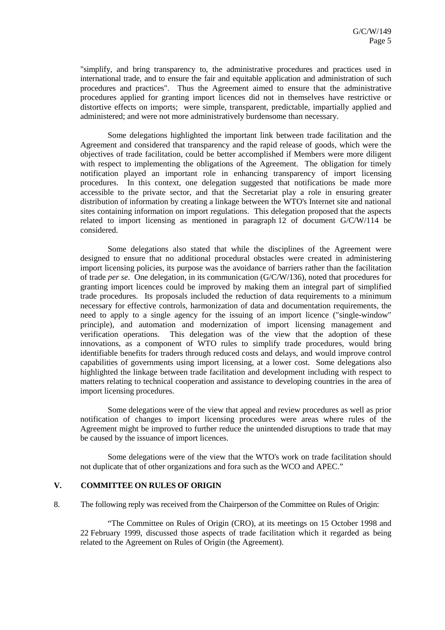"simplify, and bring transparency to, the administrative procedures and practices used in international trade, and to ensure the fair and equitable application and administration of such procedures and practices". Thus the Agreement aimed to ensure that the administrative procedures applied for granting import licences did not in themselves have restrictive or distortive effects on imports; were simple, transparent, predictable, impartially applied and administered; and were not more administratively burdensome than necessary.

Some delegations highlighted the important link between trade facilitation and the Agreement and considered that transparency and the rapid release of goods, which were the objectives of trade facilitation, could be better accomplished if Members were more diligent with respect to implementing the obligations of the Agreement. The obligation for timely notification played an important role in enhancing transparency of import licensing procedures. In this context, one delegation suggested that notifications be made more accessible to the private sector, and that the Secretariat play a role in ensuring greater distribution of information by creating a linkage between the WTO's Internet site and national sites containing information on import regulations. This delegation proposed that the aspects related to import licensing as mentioned in paragraph 12 of document G/C/W/114 be considered.

Some delegations also stated that while the disciplines of the Agreement were designed to ensure that no additional procedural obstacles were created in administering import licensing policies, its purpose was the avoidance of barriers rather than the facilitation of trade *per se*. One delegation, in its communication (G/C/W/136), noted that procedures for granting import licences could be improved by making them an integral part of simplified trade procedures. Its proposals included the reduction of data requirements to a minimum necessary for effective controls, harmonization of data and documentation requirements, the need to apply to a single agency for the issuing of an import licence ("single-window" principle), and automation and modernization of import licensing management and verification operations. This delegation was of the view that the adoption of these innovations, as a component of WTO rules to simplify trade procedures, would bring identifiable benefits for traders through reduced costs and delays, and would improve control capabilities of governments using import licensing, at a lower cost. Some delegations also highlighted the linkage between trade facilitation and development including with respect to matters relating to technical cooperation and assistance to developing countries in the area of import licensing procedures.

Some delegations were of the view that appeal and review procedures as well as prior notification of changes to import licensing procedures were areas where rules of the Agreement might be improved to further reduce the unintended disruptions to trade that may be caused by the issuance of import licences.

Some delegations were of the view that the WTO's work on trade facilitation should not duplicate that of other organizations and fora such as the WCO and APEC."

#### **V. COMMITTEE ON RULES OF ORIGIN**

8. The following reply was received from the Chairperson of the Committee on Rules of Origin:

"The Committee on Rules of Origin (CRO), at its meetings on 15 October 1998 and 22 February 1999, discussed those aspects of trade facilitation which it regarded as being related to the Agreement on Rules of Origin (the Agreement).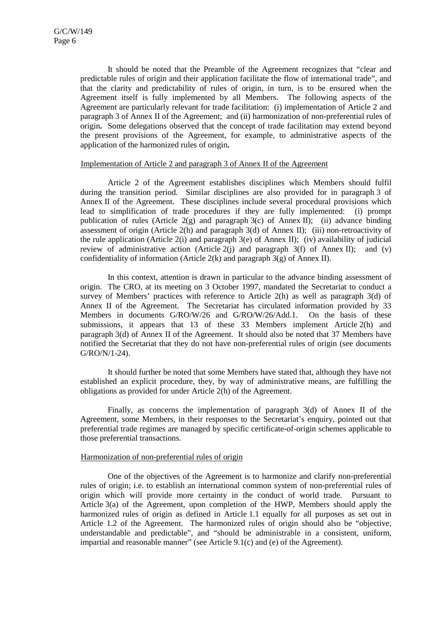It should be noted that the Preamble of the Agreement recognizes that "clear and predictable rules of origin and their application facilitate the flow of international trade", and that the clarity and predictability of rules of origin, in turn, is to be ensured when the Agreement itself is fully implemented by all Members. The following aspects of the Agreement are particularly relevant for trade facilitation: (i) implementation of Article 2 and paragraph 3 of Annex II of the Agreement; and (ii) harmonization of non-preferential rules of origin**.** Some delegations observed that the concept of trade facilitation may extend beyond the present provisions of the Agreement, for example, to administrative aspects of the application of the harmonized rules of origin**.**

#### Implementation of Article 2 and paragraph 3 of Annex II of the Agreement

Article 2 of the Agreement establishes disciplines which Members should fulfil during the transition period. Similar disciplines are also provided for in paragraph 3 of Annex II of the Agreement. These disciplines include several procedural provisions which lead to simplification of trade procedures if they are fully implemented: (i) prompt publication of rules (Article  $2(g)$  and paragraph  $3(c)$  of Annex II); (ii) advance binding assessment of origin (Article 2(h) and paragraph 3(d) of Annex II); (iii) non-retroactivity of the rule application (Article 2(i) and paragraph 3(e) of Annex II); (iv) availability of judicial review of administrative action (Article 2(j) and paragraph  $3(f)$  of Annex II); and (v) confidentiality of information (Article 2(k) and paragraph  $3(g)$  of Annex II).

In this context, attention is drawn in particular to the advance binding assessment of origin. The CRO, at its meeting on 3 October 1997, mandated the Secretariat to conduct a survey of Members' practices with reference to Article  $2(h)$  as well as paragraph  $3(d)$  of Annex II of the Agreement. The Secretariat has circulated information provided by 33 Members in documents G/RO/W/26 and G/RO/W/26/Add.1. On the basis of these submissions, it appears that 13 of these 33 Members implement Article 2(h) and paragraph 3(d) of Annex II of the Agreement. It should also be noted that 37 Members have notified the Secretariat that they do not have non-preferential rules of origin (see documents G/RO/N/1-24).

It should further be noted that some Members have stated that, although they have not established an explicit procedure, they, by way of administrative means, are fulfilling the obligations as provided for under Article 2(h) of the Agreement.

Finally, as concerns the implementation of paragraph 3(d) of Annex II of the Agreement, some Members, in their responses to the Secretariat's enquiry, pointed out that preferential trade regimes are managed by specific certificate-of-origin schemes applicable to those preferential transactions.

### Harmonization of non-preferential rules of origin

One of the objectives of the Agreement is to harmonize and clarify non-preferential rules of origin; i.e. to establish an international common system of non-preferential rules of origin which will provide more certainty in the conduct of world trade. Pursuant to Article 3(a) of the Agreement, upon completion of the HWP, Members should apply the harmonized rules of origin as defined in Article 1.1 equally for all purposes as set out in Article 1.2 of the Agreement.The harmonized rules of origin should also be "objective, understandable and predictable", and "should be administrable in a consistent, uniform, impartial and reasonable manner" (see Article 9.1(c) and (e) of the Agreement).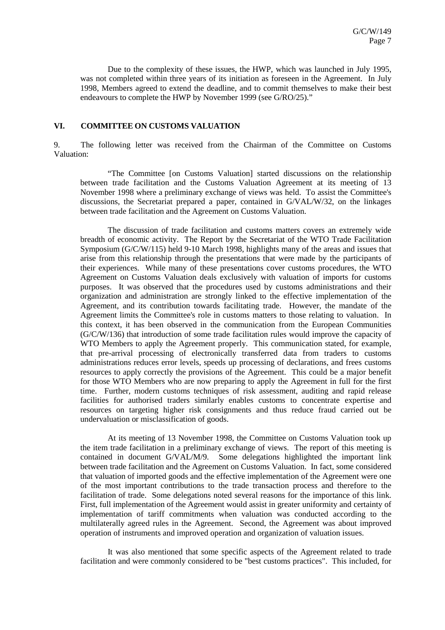Due to the complexity of these issues, the HWP, which was launched in July 1995, was not completed within three years of its initiation as foreseen in the Agreement. In July 1998, Members agreed to extend the deadline, and to commit themselves to make their best endeavours to complete the HWP by November 1999 (see G/RO/25)."

#### **VI. COMMITTEE ON CUSTOMS VALUATION**

9. The following letter was received from the Chairman of the Committee on Customs Valuation:

"The Committee [on Customs Valuation] started discussions on the relationship between trade facilitation and the Customs Valuation Agreement at its meeting of 13 November 1998 where a preliminary exchange of views was held. To assist the Committee's discussions, the Secretariat prepared a paper, contained in G/VAL/W/32, on the linkages between trade facilitation and the Agreement on Customs Valuation.

The discussion of trade facilitation and customs matters covers an extremely wide breadth of economic activity. The Report by the Secretariat of the WTO Trade Facilitation Symposium (G/C/W/115) held 9-10 March 1998, highlights many of the areas and issues that arise from this relationship through the presentations that were made by the participants of their experiences. While many of these presentations cover customs procedures, the WTO Agreement on Customs Valuation deals exclusively with valuation of imports for customs purposes. It was observed that the procedures used by customs administrations and their organization and administration are strongly linked to the effective implementation of the Agreement, and its contribution towards facilitating trade. However, the mandate of the Agreement limits the Committee's role in customs matters to those relating to valuation. In this context, it has been observed in the communication from the European Communities (G/C/W/136) that introduction of some trade facilitation rules would improve the capacity of WTO Members to apply the Agreement properly. This communication stated, for example, that pre-arrival processing of electronically transferred data from traders to customs administrations reduces error levels, speeds up processing of declarations, and frees customs resources to apply correctly the provisions of the Agreement. This could be a major benefit for those WTO Members who are now preparing to apply the Agreement in full for the first time. Further, modern customs techniques of risk assessment, auditing and rapid release facilities for authorised traders similarly enables customs to concentrate expertise and resources on targeting higher risk consignments and thus reduce fraud carried out be undervaluation or misclassification of goods.

At its meeting of 13 November 1998, the Committee on Customs Valuation took up the item trade facilitation in a preliminary exchange of views. The report of this meeting is contained in document G/VAL/M/9. Some delegations highlighted the important link between trade facilitation and the Agreement on Customs Valuation. In fact, some considered that valuation of imported goods and the effective implementation of the Agreement were one of the most important contributions to the trade transaction process and therefore to the facilitation of trade. Some delegations noted several reasons for the importance of this link. First, full implementation of the Agreement would assist in greater uniformity and certainty of implementation of tariff commitments when valuation was conducted according to the multilaterally agreed rules in the Agreement. Second, the Agreement was about improved operation of instruments and improved operation and organization of valuation issues.

It was also mentioned that some specific aspects of the Agreement related to trade facilitation and were commonly considered to be "best customs practices". This included, for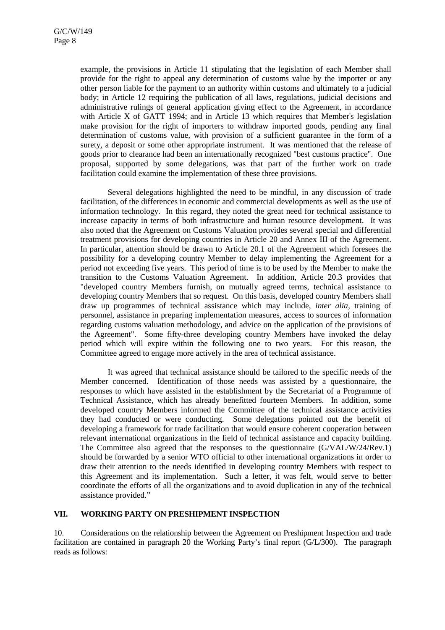example, the provisions in Article 11 stipulating that the legislation of each Member shall provide for the right to appeal any determination of customs value by the importer or any other person liable for the payment to an authority within customs and ultimately to a judicial body; in Article 12 requiring the publication of all laws, regulations, judicial decisions and administrative rulings of general application giving effect to the Agreement, in accordance with Article X of GATT 1994; and in Article 13 which requires that Member's legislation make provision for the right of importers to withdraw imported goods, pending any final determination of customs value, with provision of a sufficient guarantee in the form of a surety, a deposit or some other appropriate instrument. It was mentioned that the release of goods prior to clearance had been an internationally recognized "best customs practice". One proposal, supported by some delegations, was that part of the further work on trade facilitation could examine the implementation of these three provisions.

Several delegations highlighted the need to be mindful, in any discussion of trade facilitation, of the differences in economic and commercial developments as well as the use of information technology. In this regard, they noted the great need for technical assistance to increase capacity in terms of both infrastructure and human resource development. It was also noted that the Agreement on Customs Valuation provides several special and differential treatment provisions for developing countries in Article 20 and Annex III of the Agreement. In particular, attention should be drawn to Article 20.1 of the Agreement which foresees the possibility for a developing country Member to delay implementing the Agreement for a period not exceeding five years. This period of time is to be used by the Member to make the transition to the Customs Valuation Agreement. In addition, Article 20.3 provides that "developed country Members furnish, on mutually agreed terms, technical assistance to developing country Members that so request. On this basis, developed country Members shall draw up programmes of technical assistance which may include, *inter alia,* training of personnel, assistance in preparing implementation measures, access to sources of information regarding customs valuation methodology, and advice on the application of the provisions of the Agreement". Some fifty-three developing country Members have invoked the delay period which will expire within the following one to two years. For this reason, the Committee agreed to engage more actively in the area of technical assistance.

It was agreed that technical assistance should be tailored to the specific needs of the Member concerned. Identification of those needs was assisted by a questionnaire, the responses to which have assisted in the establishment by the Secretariat of a Programme of Technical Assistance, which has already benefitted fourteen Members. In addition, some developed country Members informed the Committee of the technical assistance activities they had conducted or were conducting. Some delegations pointed out the benefit of developing a framework for trade facilitation that would ensure coherent cooperation between relevant international organizations in the field of technical assistance and capacity building. The Committee also agreed that the responses to the questionnaire (G/VAL/W/24/Rev.1) should be forwarded by a senior WTO official to other international organizations in order to draw their attention to the needs identified in developing country Members with respect to this Agreement and its implementation.Such a letter, it was felt, would serve to better coordinate the efforts of all the organizations and to avoid duplication in any of the technical assistance provided."

#### **VII. WORKING PARTY ON PRESHIPMENT INSPECTION**

10. Considerations on the relationship between the Agreement on Preshipment Inspection and trade facilitation are contained in paragraph 20 the Working Party's final report (G/L/300). The paragraph reads as follows: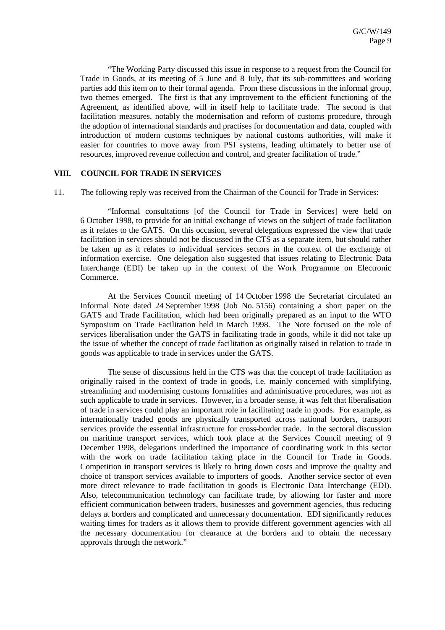"The Working Party discussed this issue in response to a request from the Council for Trade in Goods, at its meeting of 5 June and 8 July, that its sub-committees and working parties add this item on to their formal agenda. From these discussions in the informal group, two themes emerged. The first is that any improvement to the efficient functioning of the Agreement, as identified above, will in itself help to facilitate trade. The second is that facilitation measures, notably the modernisation and reform of customs procedure, through the adoption of international standards and practises for documentation and data, coupled with introduction of modern customs techniques by national customs authorities, will make it easier for countries to move away from PSI systems, leading ultimately to better use of resources, improved revenue collection and control, and greater facilitation of trade."

#### **VIII. COUNCIL FOR TRADE IN SERVICES**

11. The following reply was received from the Chairman of the Council for Trade in Services:

"Informal consultations [of the Council for Trade in Services] were held on 6 October 1998, to provide for an initial exchange of views on the subject of trade facilitation as it relates to the GATS. On this occasion, several delegations expressed the view that trade facilitation in services should not be discussed in the CTS as a separate item, but should rather be taken up as it relates to individual services sectors in the context of the exchange of information exercise. One delegation also suggested that issues relating to Electronic Data Interchange (EDI) be taken up in the context of the Work Programme on Electronic Commerce.

At the Services Council meeting of 14 October 1998 the Secretariat circulated an Informal Note dated 24 September 1998 (Job No. 5156) containing a short paper on the GATS and Trade Facilitation, which had been originally prepared as an input to the WTO Symposium on Trade Facilitation held in March 1998. The Note focused on the role of services liberalisation under the GATS in facilitating trade in goods, while it did not take up the issue of whether the concept of trade facilitation as originally raised in relation to trade in goods was applicable to trade in services under the GATS.

The sense of discussions held in the CTS was that the concept of trade facilitation as originally raised in the context of trade in goods, i.e. mainly concerned with simplifying, streamlining and modernising customs formalities and administrative procedures, was not as such applicable to trade in services. However, in a broader sense, it was felt that liberalisation of trade in services could play an important role in facilitating trade in goods. For example, as internationally traded goods are physically transported across national borders, transport services provide the essential infrastructure for cross-border trade. In the sectoral discussion on maritime transport services, which took place at the Services Council meeting of 9 December 1998, delegations underlined the importance of coordinating work in this sector with the work on trade facilitation taking place in the Council for Trade in Goods. Competition in transport services is likely to bring down costs and improve the quality and choice of transport services available to importers of goods. Another service sector of even more direct relevance to trade facilitation in goods is Electronic Data Interchange (EDI). Also, telecommunication technology can facilitate trade, by allowing for faster and more efficient communication between traders, businesses and government agencies, thus reducing delays at borders and complicated and unnecessary documentation. EDI significantly reduces waiting times for traders as it allows them to provide different government agencies with all the necessary documentation for clearance at the borders and to obtain the necessary approvals through the network."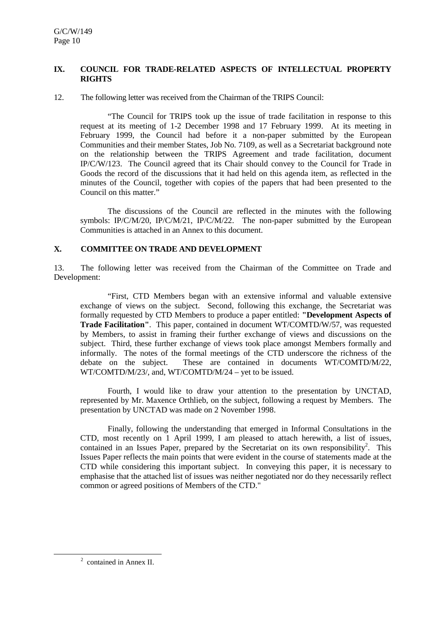### **IX. COUNCIL FOR TRADE-RELATED ASPECTS OF INTELLECTUAL PROPERTY RIGHTS**

12. The following letter was received from the Chairman of the TRIPS Council:

"The Council for TRIPS took up the issue of trade facilitation in response to this request at its meeting of 1-2 December 1998 and 17 February 1999. At its meeting in February 1999, the Council had before it a non-paper submitted by the European Communities and their member States, Job No. 7109, as well as a Secretariat background note on the relationship between the TRIPS Agreement and trade facilitation, document IP/C/W/123. The Council agreed that its Chair should convey to the Council for Trade in Goods the record of the discussions that it had held on this agenda item, as reflected in the minutes of the Council, together with copies of the papers that had been presented to the Council on this matter."

The discussions of the Council are reflected in the minutes with the following symbols: IP/C/M/20, IP/C/M/21, IP/C/M/22. The non-paper submitted by the European Communities is attached in an Annex to this document.

#### **X. COMMITTEE ON TRADE AND DEVELOPMENT**

13. The following letter was received from the Chairman of the Committee on Trade and Development:

"First, CTD Members began with an extensive informal and valuable extensive exchange of views on the subject. Second, following this exchange, the Secretariat was formally requested by CTD Members to produce a paper entitled: **"Development Aspects of Trade Facilitation"**. This paper, contained in document WT/COMTD/W/57, was requested by Members, to assist in framing their further exchange of views and discussions on the subject. Third, these further exchange of views took place amongst Members formally and informally. The notes of the formal meetings of the CTD underscore the richness of the debate on the subject. These are contained in documents WT/COMTD/M/22, WT/COMTD/M/23/, and, WT/COMTD/M/24 – yet to be issued.

Fourth, I would like to draw your attention to the presentation by UNCTAD, represented by Mr. Maxence Orthlieb, on the subject, following a request by Members. The presentation by UNCTAD was made on 2 November 1998.

Finally, following the understanding that emerged in Informal Consultations in the CTD, most recently on 1 April 1999, I am pleased to attach herewith, a list of issues, contained in an Issues Paper, prepared by the Secretariat on its own responsibility<sup>2</sup>. This Issues Paper reflects the main points that were evident in the course of statements made at the CTD while considering this important subject. In conveying this paper, it is necessary to emphasise that the attached list of issues was neither negotiated nor do they necessarily reflect common or agreed positions of Members of the CTD."

 $\overline{\phantom{a}}$ <sup>2</sup> contained in Annex II.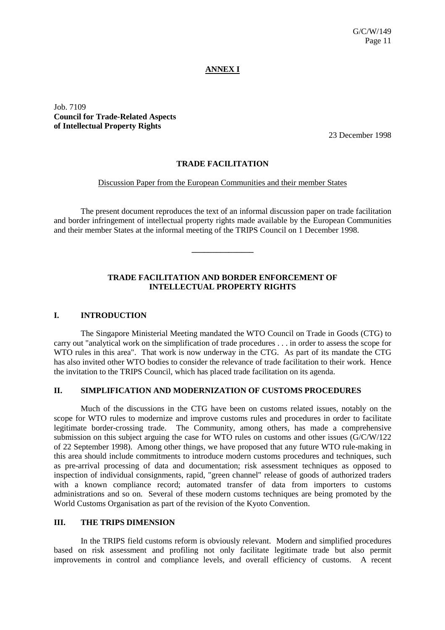# **ANNEX I**

Job. 7109 **Council for Trade-Related Aspects of Intellectual Property Rights**

23 December 1998

# **TRADE FACILITATION**

#### Discussion Paper from the European Communities and their member States

The present document reproduces the text of an informal discussion paper on trade facilitation and border infringement of intellectual property rights made available by the European Communities and their member States at the informal meeting of the TRIPS Council on 1 December 1998.

**\_\_\_\_\_\_\_\_\_\_\_\_\_\_\_**

#### **TRADE FACILITATION AND BORDER ENFORCEMENT OF INTELLECTUAL PROPERTY RIGHTS**

#### **I. INTRODUCTION**

The Singapore Ministerial Meeting mandated the WTO Council on Trade in Goods (CTG) to carry out "analytical work on the simplification of trade procedures . . . in order to assess the scope for WTO rules in this area". That work is now underway in the CTG. As part of its mandate the CTG has also invited other WTO bodies to consider the relevance of trade facilitation to their work. Hence the invitation to the TRIPS Council, which has placed trade facilitation on its agenda.

#### **II. SIMPLIFICATION AND MODERNIZATION OF CUSTOMS PROCEDURES**

Much of the discussions in the CTG have been on customs related issues, notably on the scope for WTO rules to modernize and improve customs rules and procedures in order to facilitate legitimate border-crossing trade. The Community, among others, has made a comprehensive submission on this subject arguing the case for WTO rules on customs and other issues (G/C/W/122 of 22 September 1998). Among other things, we have proposed that any future WTO rule-making in this area should include commitments to introduce modern customs procedures and techniques, such as pre-arrival processing of data and documentation; risk assessment techniques as opposed to inspection of individual consignments, rapid, "green channel" release of goods of authorized traders with a known compliance record; automated transfer of data from importers to customs administrations and so on. Several of these modern customs techniques are being promoted by the World Customs Organisation as part of the revision of the Kyoto Convention.

#### **III. THE TRIPS DIMENSION**

In the TRIPS field customs reform is obviously relevant. Modern and simplified procedures based on risk assessment and profiling not only facilitate legitimate trade but also permit improvements in control and compliance levels, and overall efficiency of customs. A recent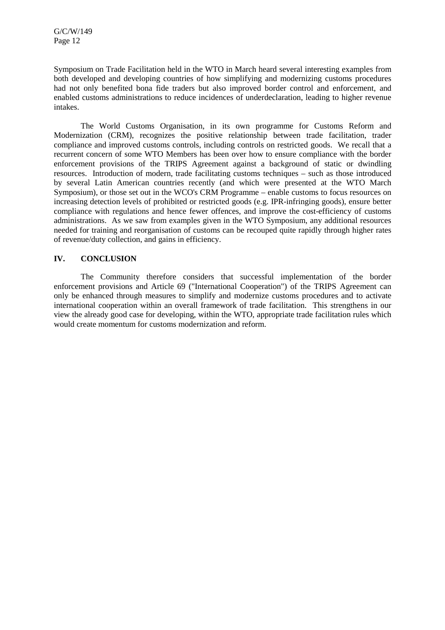Symposium on Trade Facilitation held in the WTO in March heard several interesting examples from both developed and developing countries of how simplifying and modernizing customs procedures had not only benefited bona fide traders but also improved border control and enforcement, and enabled customs administrations to reduce incidences of underdeclaration, leading to higher revenue intakes.

The World Customs Organisation, in its own programme for Customs Reform and Modernization (CRM), recognizes the positive relationship between trade facilitation, trader compliance and improved customs controls, including controls on restricted goods. We recall that a recurrent concern of some WTO Members has been over how to ensure compliance with the border enforcement provisions of the TRIPS Agreement against a background of static or dwindling resources. Introduction of modern, trade facilitating customs techniques – such as those introduced by several Latin American countries recently (and which were presented at the WTO March Symposium), or those set out in the WCO's CRM Programme – enable customs to focus resources on increasing detection levels of prohibited or restricted goods (e.g. IPR-infringing goods), ensure better compliance with regulations and hence fewer offences, and improve the cost-efficiency of customs administrations. As we saw from examples given in the WTO Symposium, any additional resources needed for training and reorganisation of customs can be recouped quite rapidly through higher rates of revenue/duty collection, and gains in efficiency.

# **IV. CONCLUSION**

The Community therefore considers that successful implementation of the border enforcement provisions and Article 69 ("International Cooperation") of the TRIPS Agreement can only be enhanced through measures to simplify and modernize customs procedures and to activate international cooperation within an overall framework of trade facilitation. This strengthens in our view the already good case for developing, within the WTO, appropriate trade facilitation rules which would create momentum for customs modernization and reform.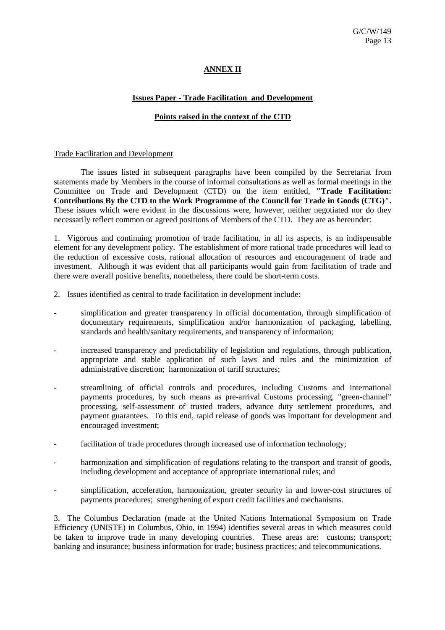# **ANNEX II**

### **Issues Paper - Trade Facilitation and Development**

# **Points raised in the context of the CTD**

#### Trade Facilitation and Development

The issues listed in subsequent paragraphs have been compiled by the Secretariat from statements made by Members in the course of informal consultations as well as formal meetings in the Committee on Trade and Development (CTD) on the item entitled, **"Trade Facilitation: Contributions By the CTD to the Work Programme of the Council for Trade in Goods (CTG)".** These issues which were evident in the discussions were, however, neither negotiated nor do they necessarily reflect common or agreed positions of Members of the CTD. They are as hereunder:

1. Vigorous and continuing promotion of trade facilitation, in all its aspects, is an indispensable element for any development policy. The establishment of more rational trade procedures will lead to the reduction of excessive costs, rational allocation of resources and encouragement of trade and investment. Although it was evident that all participants would gain from facilitation of trade and there were overall positive benefits, nonetheless, there could be short-term costs.

- 2. Issues identified as central to trade facilitation in development include:
- simplification and greater transparency in official documentation, through simplification of documentary requirements, simplification and/or harmonization of packaging, labelling, standards and health/sanitary requirements, and transparency of information;
- increased transparency and predictability of legislation and regulations, through publication, appropriate and stable application of such laws and rules and the minimization of administrative discretion; harmonization of tariff structures;
- streamlining of official controls and procedures, including Customs and international payments procedures, by such means as pre-arrival Customs processing, "green-channel" processing, self-assessment of trusted traders, advance duty settlement procedures, and payment guarantees. To this end, rapid release of goods was important for development and encouraged investment;
- facilitation of trade procedures through increased use of information technology;
- harmonization and simplification of regulations relating to the transport and transit of goods, including development and acceptance of appropriate international rules; and
- simplification, acceleration, harmonization, greater security in and lower-cost structures of payments procedures; strengthening of export credit facilities and mechanisms.

3. The Columbus Declaration (made at the United Nations International Symposium on Trade Efficiency (UNISTE) in Columbus, Ohio, in 1994) identifies several areas in which measures could be taken to improve trade in many developing countries. These areas are: customs; transport; banking and insurance; business information for trade; business practices; and telecommunications.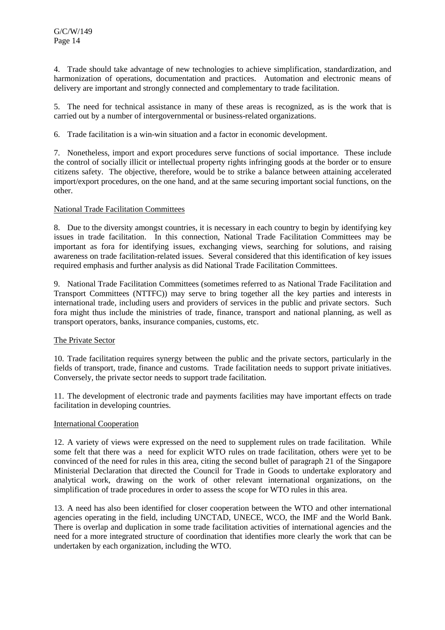4. Trade should take advantage of new technologies to achieve simplification, standardization, and harmonization of operations, documentation and practices. Automation and electronic means of delivery are important and strongly connected and complementary to trade facilitation.

5. The need for technical assistance in many of these areas is recognized, as is the work that is carried out by a number of intergovernmental or business-related organizations.

6. Trade facilitation is a win-win situation and a factor in economic development.

7. Nonetheless, import and export procedures serve functions of social importance. These include the control of socially illicit or intellectual property rights infringing goods at the border or to ensure citizens safety. The objective, therefore, would be to strike a balance between attaining accelerated import/export procedures, on the one hand, and at the same securing important social functions, on the other.

#### National Trade Facilitation Committees

8. Due to the diversity amongst countries, it is necessary in each country to begin by identifying key issues in trade facilitation. In this connection, National Trade Facilitation Committees may be important as fora for identifying issues, exchanging views, searching for solutions, and raising awareness on trade facilitation-related issues. Several considered that this identification of key issues required emphasis and further analysis as did National Trade Facilitation Committees.

9. National Trade Facilitation Committees (sometimes referred to as National Trade Facilitation and Transport Committees (NTTFC)) may serve to bring together all the key parties and interests in international trade, including users and providers of services in the public and private sectors. Such fora might thus include the ministries of trade, finance, transport and national planning, as well as transport operators, banks, insurance companies, customs, etc.

#### The Private Sector

10. Trade facilitation requires synergy between the public and the private sectors, particularly in the fields of transport, trade, finance and customs. Trade facilitation needs to support private initiatives. Conversely, the private sector needs to support trade facilitation.

11. The development of electronic trade and payments facilities may have important effects on trade facilitation in developing countries.

#### International Cooperation

12. A variety of views were expressed on the need to supplement rules on trade facilitation. While some felt that there was a need for explicit WTO rules on trade facilitation, others were yet to be convinced of the need for rules in this area, citing the second bullet of paragraph 21 of the Singapore Ministerial Declaration that directed the Council for Trade in Goods to undertake exploratory and analytical work, drawing on the work of other relevant international organizations, on the simplification of trade procedures in order to assess the scope for WTO rules in this area.

13. A need has also been identified for closer cooperation between the WTO and other international agencies operating in the field, including UNCTAD, UNECE, WCO, the IMF and the World Bank. There is overlap and duplication in some trade facilitation activities of international agencies and the need for a more integrated structure of coordination that identifies more clearly the work that can be undertaken by each organization, including the WTO.